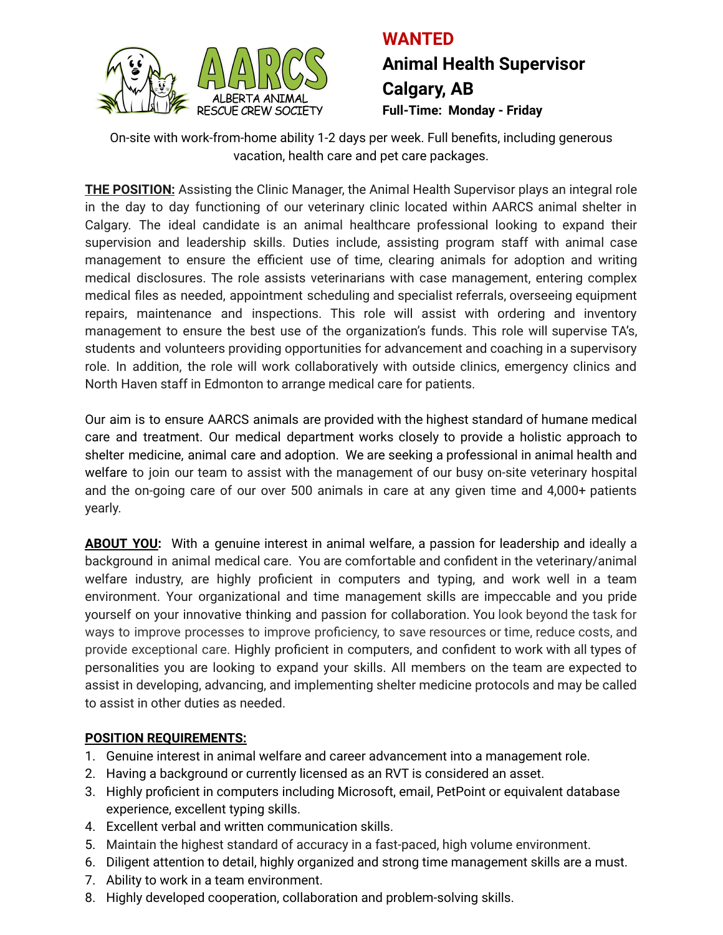

## **WANTED Animal Health Supervisor Calgary, AB Full-Time: Monday - Friday**

On-site with work-from-home ability 1-2 days per week. Full benefits, including generous vacation, health care and pet care packages.

**THE POSITION:** Assisting the Clinic Manager, the Animal Health Supervisor plays an integral role in the day to day functioning of our veterinary clinic located within AARCS animal shelter in Calgary. The ideal candidate is an animal healthcare professional looking to expand their supervision and leadership skills. Duties include, assisting program staff with animal case management to ensure the efficient use of time, clearing animals for adoption and writing medical disclosures. The role assists veterinarians with case management, entering complex medical files as needed, appointment scheduling and specialist referrals, overseeing equipment repairs, maintenance and inspections. This role will assist with ordering and inventory management to ensure the best use of the organization's funds. This role will supervise TA's, students and volunteers providing opportunities for advancement and coaching in a supervisory role. In addition, the role will work collaboratively with outside clinics, emergency clinics and North Haven staff in Edmonton to arrange medical care for patients.

Our aim is to ensure AARCS animals are provided with the highest standard of humane medical care and treatment. Our medical department works closely to provide a holistic approach to shelter medicine, animal care and adoption. We are seeking a professional in animal health and welfare to join our team to assist with the management of our busy on-site veterinary hospital and the on-going care of our over 500 animals in care at any given time and 4,000+ patients yearly.

**ABOUT YOU:** With a genuine interest in animal welfare, a passion for leadership and ideally a background in animal medical care. You are comfortable and confident in the veterinary/animal welfare industry, are highly proficient in computers and typing, and work well in a team environment. Your organizational and time management skills are impeccable and you pride yourself on your innovative thinking and passion for collaboration. You look beyond the task for ways to improve processes to improve proficiency, to save resources or time, reduce costs, and provide exceptional care. Highly proficient in computers, and confident to work with all types of personalities you are looking to expand your skills. All members on the team are expected to assist in developing, advancing, and implementing shelter medicine protocols and may be called to assist in other duties as needed.

## **POSITION REQUIREMENTS:**

- 1. Genuine interest in animal welfare and career advancement into a management role.
- 2. Having a background or currently licensed as an RVT is considered an asset.
- 3. Highly proficient in computers including Microsoft, email, PetPoint or equivalent database experience, excellent typing skills.
- 4. Excellent verbal and written communication skills.
- 5. Maintain the highest standard of accuracy in a fast-paced, high volume environment.
- 6. Diligent attention to detail, highly organized and strong time management skills are a must.
- 7. Ability to work in a team environment.
- 8. Highly developed cooperation, collaboration and problem-solving skills.